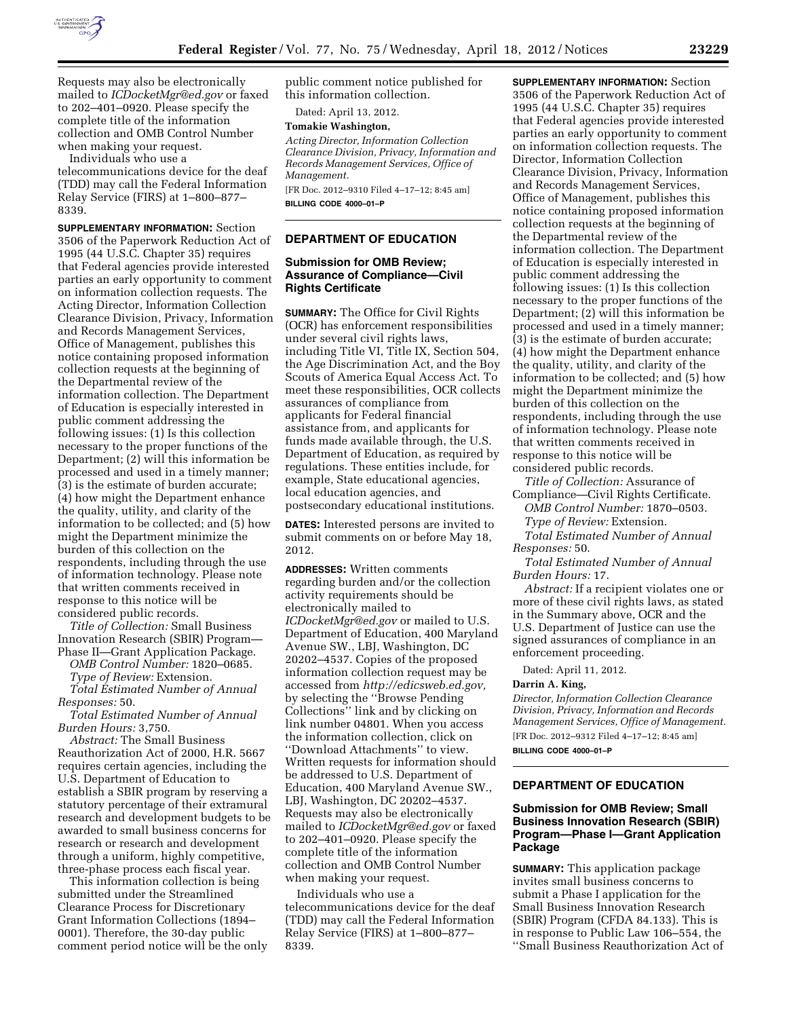

Requests may also be electronically mailed to *[ICDocketMgr@ed.gov](mailto:ICDocketMgr@ed.gov)* or faxed to 202–401–0920. Please specify the complete title of the information collection and OMB Control Number when making your request.

Individuals who use a telecommunications device for the deaf (TDD) may call the Federal Information Relay Service (FIRS) at 1–800–877– 8339.

**SUPPLEMENTARY INFORMATION:** Section 3506 of the Paperwork Reduction Act of 1995 (44 U.S.C. Chapter 35) requires that Federal agencies provide interested parties an early opportunity to comment on information collection requests. The Acting Director, Information Collection Clearance Division, Privacy, Information and Records Management Services, Office of Management, publishes this notice containing proposed information collection requests at the beginning of the Departmental review of the information collection. The Department of Education is especially interested in public comment addressing the following issues: (1) Is this collection necessary to the proper functions of the Department; (2) will this information be processed and used in a timely manner; (3) is the estimate of burden accurate; (4) how might the Department enhance the quality, utility, and clarity of the information to be collected; and (5) how might the Department minimize the burden of this collection on the respondents, including through the use of information technology. Please note that written comments received in response to this notice will be considered public records.

*Title of Collection:* Small Business Innovation Research (SBIR) Program— Phase II—Grant Application Package.

*OMB Control Number:* 1820–0685. *Type of Review:* Extension.

*Total Estimated Number of Annual Responses:* 50.

*Total Estimated Number of Annual Burden Hours:* 3,750.

*Abstract:* The Small Business Reauthorization Act of 2000, H.R. 5667 requires certain agencies, including the U.S. Department of Education to establish a SBIR program by reserving a statutory percentage of their extramural research and development budgets to be awarded to small business concerns for research or research and development through a uniform, highly competitive, three-phase process each fiscal year.

This information collection is being submitted under the Streamlined Clearance Process for Discretionary Grant Information Collections (1894– 0001). Therefore, the 30-day public comment period notice will be the only public comment notice published for this information collection.

Dated: April 13, 2012.

## **Tomakie Washington,**

*Acting Director, Information Collection Clearance Division, Privacy, Information and Records Management Services, Office of Management.* 

[FR Doc. 2012–9310 Filed 4–17–12; 8:45 am] **BILLING CODE 4000–01–P** 

### **DEPARTMENT OF EDUCATION**

## **Submission for OMB Review; Assurance of Compliance—Civil Rights Certificate**

**SUMMARY:** The Office for Civil Rights (OCR) has enforcement responsibilities under several civil rights laws, including Title VI, Title IX, Section 504, the Age Discrimination Act, and the Boy Scouts of America Equal Access Act. To meet these responsibilities, OCR collects assurances of compliance from applicants for Federal financial assistance from, and applicants for funds made available through, the U.S. Department of Education, as required by regulations. These entities include, for example, State educational agencies, local education agencies, and postsecondary educational institutions.

**DATES:** Interested persons are invited to submit comments on or before May 18, 2012.

**ADDRESSES:** Written comments regarding burden and/or the collection activity requirements should be electronically mailed to *[ICDocketMgr@ed.gov](mailto:ICDocketMgr@ed.gov)* or mailed to U.S. Department of Education, 400 Maryland Avenue SW., LBJ, Washington, DC 20202–4537. Copies of the proposed information collection request may be accessed from *[http://edicsweb.ed.gov,](http://edicsweb.ed.gov)*  by selecting the ''Browse Pending Collections'' link and by clicking on link number 04801. When you access the information collection, click on ''Download Attachments'' to view. Written requests for information should be addressed to U.S. Department of Education, 400 Maryland Avenue SW., LBJ, Washington, DC 20202–4537. Requests may also be electronically mailed to *[ICDocketMgr@ed.gov](mailto:ICDocketMgr@ed.gov)* or faxed to 202–401–0920. Please specify the complete title of the information collection and OMB Control Number when making your request.

Individuals who use a telecommunications device for the deaf (TDD) may call the Federal Information Relay Service (FIRS) at 1–800–877– 8339.

**SUPPLEMENTARY INFORMATION:** Section 3506 of the Paperwork Reduction Act of 1995 (44 U.S.C. Chapter 35) requires that Federal agencies provide interested parties an early opportunity to comment on information collection requests. The Director, Information Collection Clearance Division, Privacy, Information and Records Management Services, Office of Management, publishes this notice containing proposed information collection requests at the beginning of the Departmental review of the information collection. The Department of Education is especially interested in public comment addressing the following issues: (1) Is this collection necessary to the proper functions of the Department; (2) will this information be processed and used in a timely manner; (3) is the estimate of burden accurate; (4) how might the Department enhance the quality, utility, and clarity of the information to be collected; and (5) how might the Department minimize the burden of this collection on the respondents, including through the use of information technology. Please note that written comments received in response to this notice will be considered public records.

*Title of Collection:* Assurance of Compliance—Civil Rights Certificate.

*OMB Control Number:* 1870–0503. *Type of Review:* Extension.

*Total Estimated Number of Annual Responses:* 50.

*Total Estimated Number of Annual Burden Hours:* 17.

*Abstract:* If a recipient violates one or more of these civil rights laws, as stated in the Summary above, OCR and the U.S. Department of Justice can use the signed assurances of compliance in an enforcement proceeding.

Dated: April 11, 2012.

#### **Darrin A. King,**

*Director, Information Collection Clearance Division, Privacy, Information and Records Management Services, Office of Management.*  [FR Doc. 2012–9312 Filed 4–17–12; 8:45 am] **BILLING CODE 4000–01–P** 

# **DEPARTMENT OF EDUCATION**

## **Submission for OMB Review; Small Business Innovation Research (SBIR) Program—Phase I—Grant Application Package**

**SUMMARY:** This application package invites small business concerns to submit a Phase I application for the Small Business Innovation Research (SBIR) Program (CFDA 84.133). This is in response to Public Law 106–554, the ''Small Business Reauthorization Act of